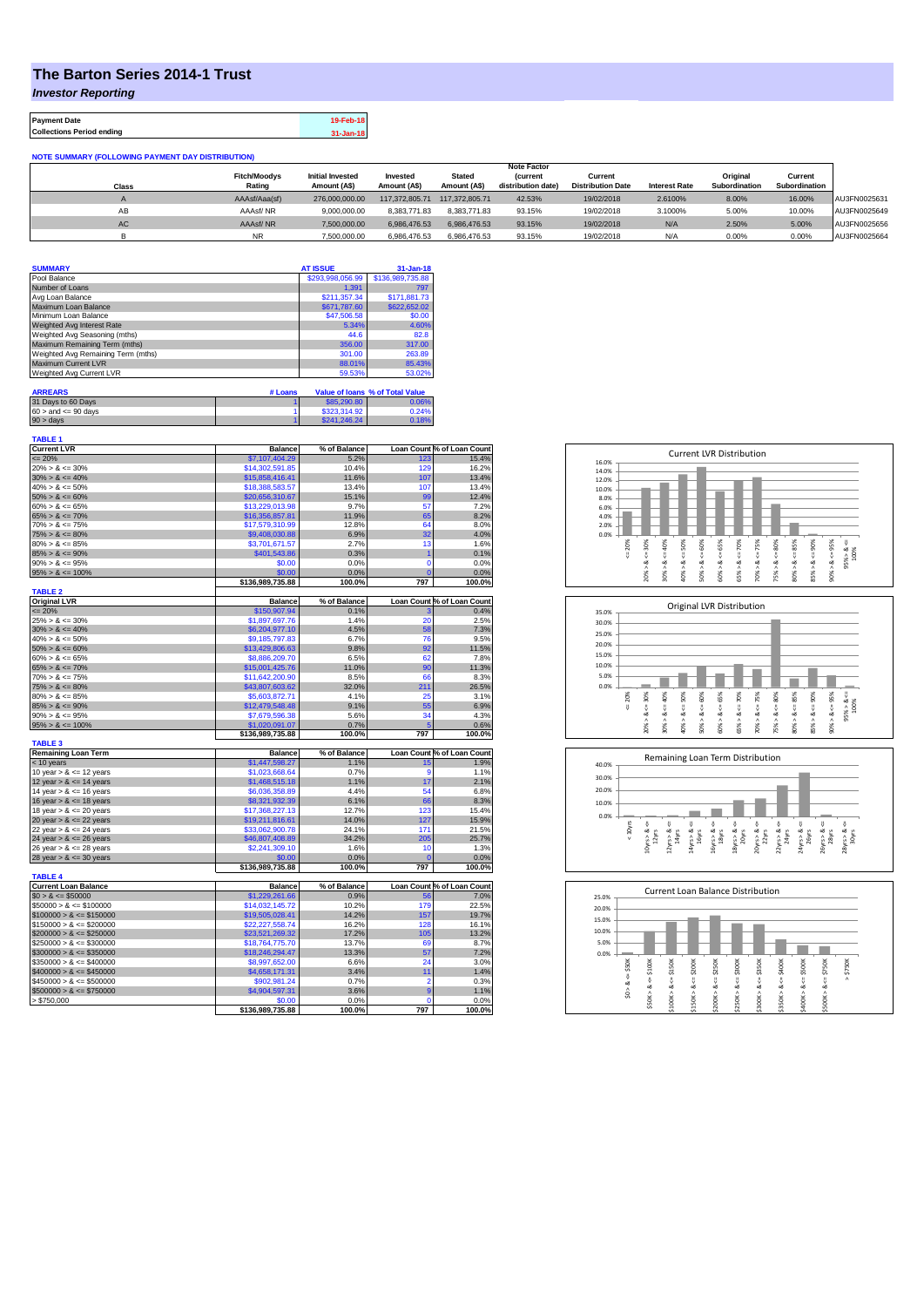## **The Barton Series 2014-1 Trust**

*Investor Reporting*

| <b>Payment Date</b>              | 19-Feb-18     |
|----------------------------------|---------------|
| <b>Collections Period ending</b> | $31 - Jan-18$ |

| <b>NOTE SUMMARY (FOLLOWING PAYMENT DAY DISTRIBUTION)</b> |                     |                         |                |                |                    |                          |                      |               |               |              |
|----------------------------------------------------------|---------------------|-------------------------|----------------|----------------|--------------------|--------------------------|----------------------|---------------|---------------|--------------|
|                                                          | <b>Note Factor</b>  |                         |                |                |                    |                          |                      |               |               |              |
|                                                          | <b>Fitch/Moodys</b> | <b>Initial Invested</b> | Invested       | <b>Stated</b>  | <i>(current</i>    | Current                  |                      | Original      | Current       |              |
| Class                                                    | Rating              | Amount (A\$)            | Amount (A\$)   | Amount (A\$)   | distribution date) | <b>Distribution Date</b> | <b>Interest Rate</b> | Subordination | Subordination |              |
|                                                          | AAAsf/Aaa(sf)       | 276.000.000.00          | 117.372.805.71 | 117.372.805.71 | 42.53%             | 19/02/2018               | 2.6100%              | 8.00%         | 16.00%        | AU3FN0025631 |
| AB                                                       | AAAsf/NR            | 9.000.000.00            | 8.383.771.83   | 8.383.771.83   | 93.15%             | 19/02/2018               | 3.1000%              | 5.00%         | 10.00%        | AU3FN0025649 |
| AC                                                       | AAAsf/NR            | 7.500.000.00            | 6.986.476.53   | 6.986.476.53   | 93.15%             | 19/02/2018               | N/A                  | 2.50%         | 5.00%         | AU3FN0025656 |
|                                                          | <b>NR</b>           | 7.500.000.00            | 6.986.476.53   | 6.986.476.53   | 93.15%             | 19/02/2018               | N/A                  | 0.00%         | 0.00%         | AU3FN0025664 |

| <b>SUMMARY</b>                     | <b>AT ISSUE</b>  | $31 - Jan-18$    |
|------------------------------------|------------------|------------------|
| Pool Balance                       | \$293,998,056.99 | \$136,989,735.88 |
| Number of Loans                    | 1.391            | 797              |
| Avg Loan Balance                   | \$211,357.34     | \$171,881.73     |
| Maximum Loan Balance               | \$671,787.60     | \$622,652.02     |
| Minimum Loan Balance               | \$47,506.58      | \$0.00           |
| Weighted Avg Interest Rate         | 5.34%            | 4.60%            |
| Weighted Avg Seasoning (mths)      | 44.6             | 82.8             |
| Maximum Remaining Term (mths)      | 356.00           | 317.00           |
| Weighted Avg Remaining Term (mths) | 301.00           | 263.89           |
| Maximum Current LVR                | 88.01%           | 85.43%           |
| Weighted Avg Current LVR           | 59.53%           | 53.02%           |

| <b>ARREARS</b>            | # Loans |              | Value of Ioans % of Total Value |
|---------------------------|---------|--------------|---------------------------------|
| 31 Days to 60 Days        |         | \$85,290.80  | 0.06%                           |
| $60 >$ and $\leq 90$ days |         | \$323,314.92 | 0.24%                           |
| $90 >$ days               |         | \$241,246,24 | 0.18%                           |

| <b>TABLE 1</b>                                |                                   |                      |                |                            |
|-----------------------------------------------|-----------------------------------|----------------------|----------------|----------------------------|
| <b>Current LVR</b><br>$= 20%$                 | <b>Balance</b>                    | % of Balance<br>5.2% | 123            | Loan Count % of Loan Count |
|                                               | \$7,107,404.29<br>\$14,302,591.85 | 10.4%                | 129            | 15.4%<br>16.2%             |
| $20\% > 8 \le 30\%$                           |                                   |                      |                |                            |
| $30\% > 8 \le 40\%$                           | \$15,858,416.41                   | 11.6%                | 107            | 13.4%                      |
| $40\% > 8 \le 50\%$                           | \$18,388,583.57                   | 13.4%                | 107            | 13.4%                      |
| $50\% > 8 \le 60\%$                           | \$20,656,310.67                   | 15.1%                | 99             | 12.4%                      |
| $60\% > 8 \le 65\%$                           | \$13,229,013.98                   | 9.7%                 | 57             | 7.2%                       |
| $65\% > 8 \le 70\%$                           | \$16,356,857.81                   | 11.9%                | 65             | 8.2%                       |
| $70\% > 8 \le 75\%$                           | \$17,579,310.99                   | 12.8%                | 64             | 8.0%                       |
| $75\% > 8 \le 80\%$                           | \$9,408,030.88                    | 6.9%                 | 32             | 4.0%                       |
| $80\% > 8 \le 85\%$                           | \$3.701.671.57                    | 2.7%                 | 13             | 1.6%                       |
| $85\% > 8 \le 90\%$                           | \$401,543.86                      | 0.3%                 | $\overline{1}$ | 0.1%                       |
| $90\% > 8 \le 95\%$                           | \$0.00                            | 0.0%                 | $\mathbf 0$    | 0.0%                       |
| $95\% > 8 \le 100\%$                          | \$0.00                            | 0.0%                 | $\overline{c}$ | 0.0%                       |
|                                               | \$136,989,735.88                  | 100.0%               | 797            | 100.0%                     |
| <b>TABLE 2</b><br><b>Original LVR</b>         | <b>Balance</b>                    | % of Balance         |                | Loan Count % of Loan Count |
| $= 20%$                                       | \$150,907.94                      | 0.1%                 |                | 0.4%                       |
| $25\% > 8 \le 30\%$                           | \$1,897,697.76                    | 1.4%                 | З<br>20        | 2.5%                       |
| $30\% > 8 \le 40\%$                           | \$6,204,977.10                    | 4.5%                 | 58             | 7.3%                       |
|                                               |                                   |                      |                |                            |
| $40\% > 8 \le 50\%$                           | \$9,185,797.83                    | 6.7%                 | 76<br>92       | 9.5%<br>11.5%              |
| $50\% > 8 \le 60\%$                           | \$13,429,806.63                   | 9.8%                 |                |                            |
| $60\% > 8 \le 65\%$                           | \$8,886,209.70                    | 6.5%                 | 62             | 7.8%                       |
| $65\% > 8 \le 70\%$                           | \$15,001,425.76                   | 11.0%                | 90             | 11.3%                      |
| $70\% > 8 \le 75\%$                           | \$11,642,200.90                   | 8.5%                 | 66             | 8.3%                       |
| $75\% > 8 \le 80\%$                           | \$43,807,603.62                   | 32.0%                | 211            | 26.5%                      |
| $80\% > 8 \le 85\%$                           | \$5,603,872.71                    | 4.1%                 | 25             | 3.1%                       |
| $85\% > 8 \le 90\%$                           | \$12,479,548.48                   | 9.1%                 | 55             | 6.9%                       |
| $90\% > 8 \le 95\%$                           | \$7,679,596.38                    | 5.6%                 | 34             | 4.3%                       |
| $95\% > 8 \le 100\%$                          | \$1.020.091.07                    | 0.7%                 | 5              | 0.6%                       |
|                                               | \$136,989,735.88                  | 100.0%               | 797            | 100.0%                     |
| <b>TABLE 3</b>                                |                                   |                      |                |                            |
| <b>Remaining Loan Term</b>                    | <b>Balance</b>                    | % of Balance         |                | Loan Count % of Loan Count |
| < 10 years                                    | \$1,447,598.27                    | 1.1%                 | 15             | 1.9%                       |
| 10 year $> 8 \le 12$ years                    | \$1,023,668.64                    | 0.7%                 | 9              | 1.1%                       |
| 12 year $> 8 \le 14$ years                    | \$1,468,515.18                    | 1.1%                 | 17             | 2.1%                       |
| 14 year $> 8 \le 16$ years                    | \$6,036,358.89                    | 4.4%                 | 54             | 6.8%                       |
| 16 year $> 8 \le 18$ years                    | \$8,321,932.39                    | 6.1%                 | 66             | 8.3%                       |
| 18 year $> 8 \le 20$ years                    | \$17,368,227.13                   | 12.7%                | 123            | 15.4%                      |
| 20 year $> 8 \le 22$ years                    | \$19,211,816.61                   | 14.0%                | 127            | 15.9%                      |
| 22 year $> 8 \le 24$ years                    | \$33,062,900.78                   | 24.1%                | 171            | 21.5%                      |
| 24 year $> 8 \le 26$ years                    | \$46,807,408.89                   | 34.2%                | 205            | 25.7%                      |
| 26 year $> 8 \le 28$ years                    | \$2,241,309.10                    | 1.6%                 | 10             | 1.3%                       |
| 28 year $> 8 \le 30$ years                    | \$0.00                            | 0.0%                 | $\overline{0}$ | 0.0%                       |
|                                               | \$136,989,735.88                  | 100.0%               | 797            | 100.0%                     |
| <b>TABLE 4</b><br><b>Current Loan Balance</b> | <b>Balance</b>                    | % of Balance         |                | Loan Count % of Loan Count |
| $$0 > 8 \le $50000$                           | \$1,229,261.66                    | 0.9%                 | 56             | 7.0%                       |
| $$50000 > 8 \le $100000$                      | \$14,032,145.72                   | 10.2%                | <b>179</b>     | 22.5%                      |
| $$100000 > 8 \le $150000$                     | \$19,505,028.41                   | 14.2%                | 157            | 19.7%                      |
|                                               |                                   |                      |                |                            |
| $$150000 > 8 \le $200000$                     | \$22,227,558.74                   | 16.2%                | 128<br>105     | 16.1%                      |
| $$200000 > 8 \leq $250000$                    | \$23,521,269.32                   | 17.2%                |                | 13.2%                      |
| $$250000 > 8 \leq $300000$                    | \$18,764,775.70                   | 13.7%                | 69             | 8.7%                       |
| $$300000 > 8 \leq $350000$                    | \$18,246,294.47                   | 13.3%                | 57             | 7.2%                       |
| $$350000 > 8 \le $400000$                     | \$8,997,652.00                    | 6.6%                 | 24             | 3.0%                       |
| $$400000 > 8 \le $450000$                     | \$4,658,171.31                    | 3.4%                 | 11             | 1.4%                       |
| $$450000 > 8 \le $500000$                     | \$902,981.24                      | 0.7%                 | $\overline{2}$ | 0.3%                       |
| $$500000 > 8 \le $750000$                     | \$4,904,597.31                    | 3.6%                 | 9              | 1.1%                       |
| > \$750,000                                   | \$0.00                            | 0.0%                 | $\mathbf 0$    | 0.0%                       |
|                                               | \$136,989,735.88                  | 100.0%               | 797            | 100.0%                     |







| 25.0% |                            |                       |                       |                       |                       | <b>Current Loan Balance Distribution</b> |                       |                  |                       |                  |             |
|-------|----------------------------|-----------------------|-----------------------|-----------------------|-----------------------|------------------------------------------|-----------------------|------------------|-----------------------|------------------|-------------|
| 20.0% |                            |                       |                       |                       |                       |                                          |                       |                  |                       |                  |             |
| 15.0% |                            |                       |                       |                       |                       |                                          |                       |                  |                       |                  |             |
| 10.0% |                            |                       |                       |                       |                       |                                          |                       |                  |                       |                  |             |
| 5.0%  |                            |                       |                       |                       |                       |                                          |                       |                  |                       |                  |             |
| 0.0%  |                            |                       |                       |                       |                       |                                          |                       |                  |                       |                  |             |
|       | \$50K<br>ő<br>త<br>Λ<br>S. | \$100K<br>₩<br>ಯ<br>٨ | \$150K<br>ű<br>∞<br>Λ | \$200K<br>ő<br>∞<br>٨ | \$250K<br>ű<br>œ<br>۸ | \$300K<br>ű<br>ಜ                         | \$350K<br>U<br>ಹ<br>Λ | $4 = $400K$<br>ಹ | \$500K<br>υ<br>œ<br>л | \$750K<br>V<br>∞ | \$750K<br>Λ |
|       |                            | \$50K                 | \$100K                | \$150K                | \$200K                | \$250K>                                  | \$300K                | \$350K>          | \$400K                | \$500K>          |             |